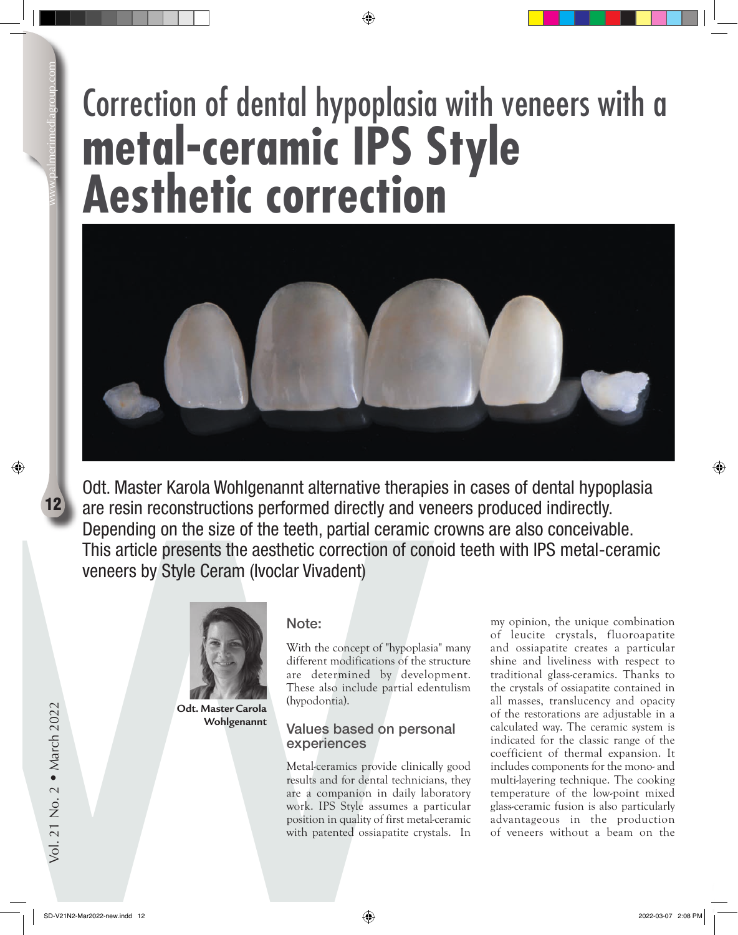# $12$

# Correction of dental hypoplasia with veneers with a **metal-ceramic IPS Style Aesthetic correction**



12 are resin reconstructions performed directly and vertical constructions of the teeth, partial ceramic C This article presents the aesthetic correction of conveneers by Style Ceram (Ivoclar Vivadent)<br>
Work:<br>
With the co Odt. Master Karola Wohlgenannt alternative therapies in cases of dental hypoplasia are resin reconstructions performed directly and veneers produced indirectly. Depending on the size of the teeth, partial ceramic crowns are also conceivable. This article presents the aesthetic correction of conoid teeth with IPS metal-ceramic veneers by Style Ceram (Ivoclar Vivadent)



**Odt. Master Carola Wohlgenannt**

# Note:

With the concept of "hypoplasia" many different modifications of the structure are determined by development. These also include partial edentulism (hypodontia).

# Values based on personal experiences

Metal-ceramics provide clinically good results and for dental technicians, they are a companion in daily laboratory work. IPS Style assumes a particular position in quality of first metal-ceramic with patented ossiapatite crystals. In my opinion, the unique combination of leucite crystals, fluoroapatite and ossiapatite creates a particular shine and liveliness with respect to traditional glass-ceramics. Thanks to the crystals of ossiapatite contained in all masses, translucency and opacity of the restorations are adjustable in a calculated way. The ceramic system is indicated for the classic range of the coefficient of thermal expansion. It includes components for the mono- and multi-layering technique. The cooking temperature of the low-point mixed glass-ceramic fusion is also particularly advantageous in the production of veneers without a beam on the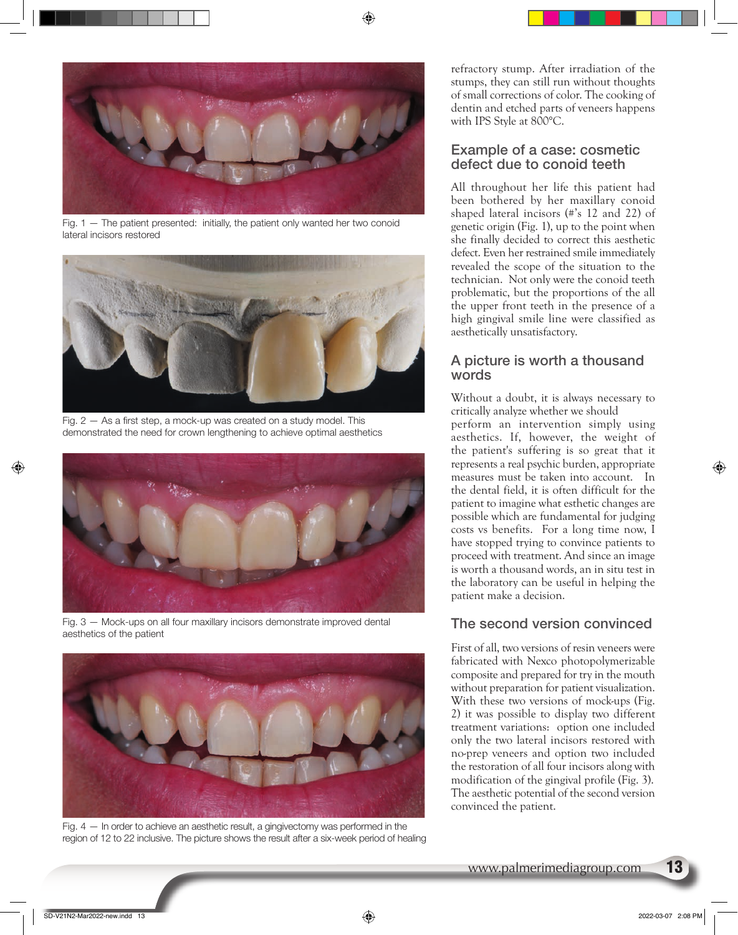

Fig. 1 — The patient presented: initially, the patient only wanted her two conoid lateral incisors restored



Fig.  $2 - As$  a first step, a mock-up was created on a study model. This demonstrated the need for crown lengthening to achieve optimal aesthetics



Fig. 3 — Mock-ups on all four maxillary incisors demonstrate improved dental aesthetics of the patient



Fig. 4 — In order to achieve an aesthetic result, a gingivectomy was performed in the region of 12 to 22 inclusive. The picture shows the result after a six-week period of healing

refractory stump. After irradiation of the stumps, they can still run without thoughts of small corrections of color. The cooking of dentin and etched parts of veneers happens with IPS Style at 800°C.

## Example of a case: cosmetic defect due to conoid teeth

All throughout her life this patient had been bothered by her maxillary conoid shaped lateral incisors (#'s 12 and 22) of genetic origin (Fig. 1), up to the point when she finally decided to correct this aesthetic defect. Even her restrained smile immediately revealed the scope of the situation to the technician. Not only were the conoid teeth problematic, but the proportions of the all the upper front teeth in the presence of a high gingival smile line were classified as aesthetically unsatisfactory.

## A picture is worth a thousand words

Without a doubt, it is always necessary to critically analyze whether we should

perform an intervention simply using aesthetics. If, however, the weight of the patient's suffering is so great that it represents a real psychic burden, appropriate measures must be taken into account. In the dental field, it is often difficult for the patient to imagine what esthetic changes are possible which are fundamental for judging costs vs benefits. For a long time now, I have stopped trying to convince patients to proceed with treatment. And since an image is worth a thousand words, an in situ test in the laboratory can be useful in helping the patient make a decision.

# The second version convinced

First of all, two versions of resin veneers were fabricated with Nexco photopolymerizable composite and prepared for try in the mouth without preparation for patient visualization. With these two versions of mock-ups (Fig. 2) it was possible to display two different treatment variations: option one included only the two lateral incisors restored with no-prep veneers and option two included the restoration of all four incisors along with modification of the gingival profile (Fig. 3). The aesthetic potential of the second version convinced the patient.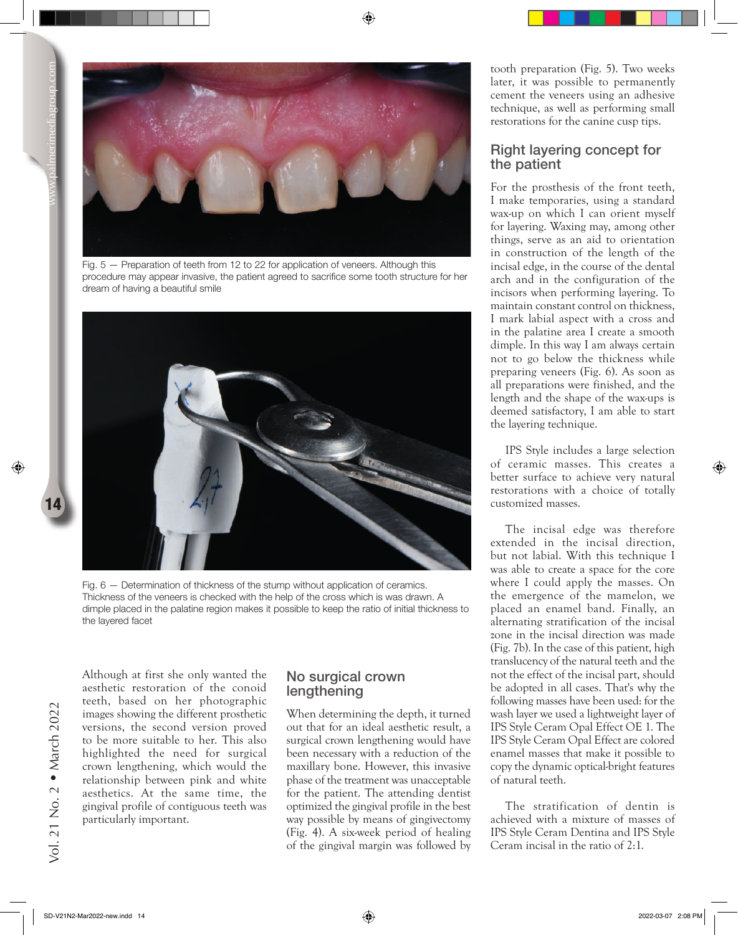

Fig. 5 — Preparation of teeth from 12 to 22 for application of veneers. Although this procedure may appear invasive, the patient agreed to sacrifice some tooth structure for her dream of having a beautiful smile



Fig. 6 — Determination of thickness of the stump without application of ceramics. Thickness of the veneers is checked with the help of the cross which is was drawn. A dimple placed in the palatine region makes it possible to keep the ratio of initial thickness to the layered facet

Although at first she only wanted the aesthetic restoration of the conoid teeth, based on her photographic images showing the different prosthetic versions, the second version proved to be more suitable to her. This also highlighted the need for surgical crown lengthening, which would the relationship between pink and white aesthetics. At the same time, the gingival profile of contiguous teeth was particularly important.

### No surgical crown lengthening

When determining the depth, it turned out that for an ideal aesthetic result, a surgical crown lengthening would have been necessary with a reduction of the maxillary bone. However, this invasive phase of the treatment was unacceptable for the patient. The attending dentist optimized the gingival profile in the best way possible by means of gingivectomy (Fig. 4). A six-week period of healing of the gingival margin was followed by

tooth preparation (Fig. 5). Two weeks later, it was possible to permanently cement the veneers using an adhesive technique, as well as performing small restorations for the canine cusp tips.

### Right layering concept for the patient

For the prosthesis of the front teeth, I make temporaries, using a standard wax-up on which I can orient myself for layering. Waxing may, among other things, serve as an aid to orientation in construction of the length of the incisal edge, in the course of the dental arch and in the configuration of the incisors when performing layering. To maintain constant control on thickness, I mark labial aspect with a cross and in the palatine area I create a smooth dimple. In this way I am always certain not to go below the thickness while preparing veneers (Fig. 6). As soon as all preparations were finished, and the length and the shape of the wax-ups is deemed satisfactory, I am able to start the layering technique.

IPS Style includes a large selection of ceramic masses. This creates a better surface to achieve very natural restorations with a choice of totally customized masses.

The incisal edge was therefore extended in the incisal direction, but not labial. With this technique I was able to create a space for the core where I could apply the masses. On the emergence of the mamelon, we placed an enamel band. Finally, an alternating stratification of the incisal zone in the incisal direction was made (Fig. 7b). In the case of this patient, high translucency of the natural teeth and the not the effect of the incisal part, should be adopted in all cases. That's why the following masses have been used: for the wash layer we used a lightweight layer of IPS Style Ceram Opal Effect OE 1. The IPS Style Ceram Opal Effect are colored enamel masses that make it possible to copy the dynamic optical-bright features of natural teeth.

The stratification of dentin is achieved with a mixture of masses of IPS Style Ceram Dentina and IPS Style Ceram incisal in the ratio of 2:1.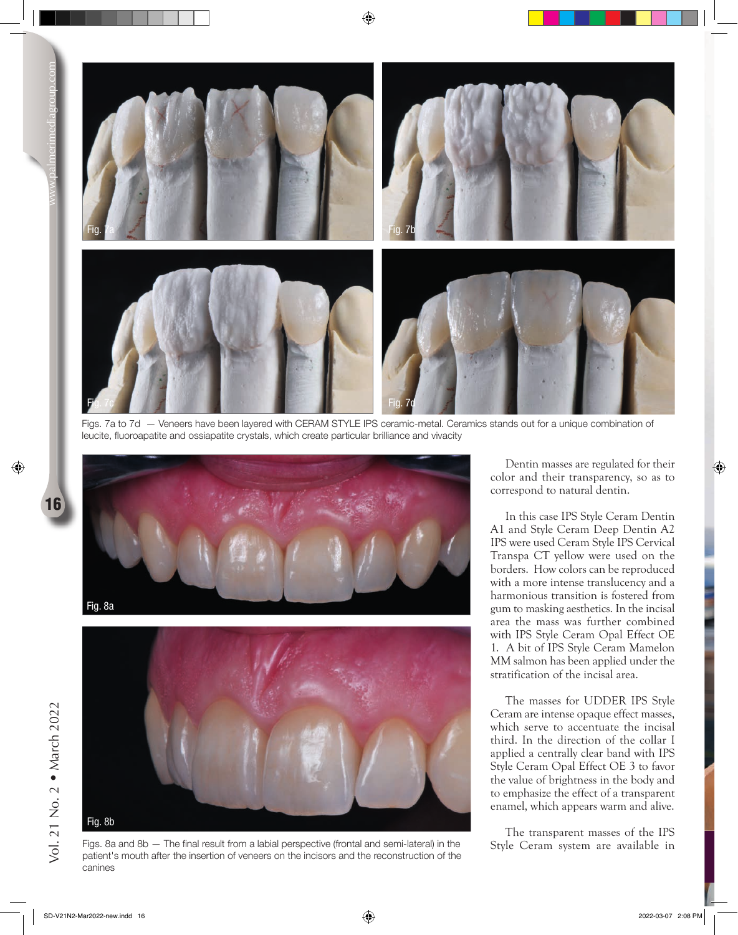

Figs. 7a to 7d — Veneers have been layered with CERAM STYLE IPS ceramic-metal. Ceramics stands out for a unique combination of leucite, fluoroapatite and ossiapatite crystals, which create particular brilliance and vivacity



16



Figs. 8a and 8b — The final result from a labial perspective (frontal and semi-lateral) in the patient's mouth after the insertion of veneers on the incisors and the reconstruction of the canines

Dentin masses are regulated for their color and their transparency, so as to correspond to natural dentin.

In this case IPS Style Ceram Dentin A1 and Style Ceram Deep Dentin A2 IPS were used Ceram Style IPS Cervical Transpa CT yellow were used on the borders. How colors can be reproduced with a more intense translucency and a harmonious transition is fostered from gum to masking aesthetics. In the incisal area the mass was further combined with IPS Style Ceram Opal Effect OE 1. A bit of IPS Style Ceram Mamelon MM salmon has been applied under the stratification of the incisal area.

The masses for UDDER IPS Style Ceram are intense opaque effect masses, which serve to accentuate the incisal third. In the direction of the collar I applied a centrally clear band with IPS Style Ceram Opal Effect OE 3 to favor the value of brightness in the body and to emphasize the effect of a transparent enamel, which appears warm and alive.

The transparent masses of the IPS Style Ceram system are available in